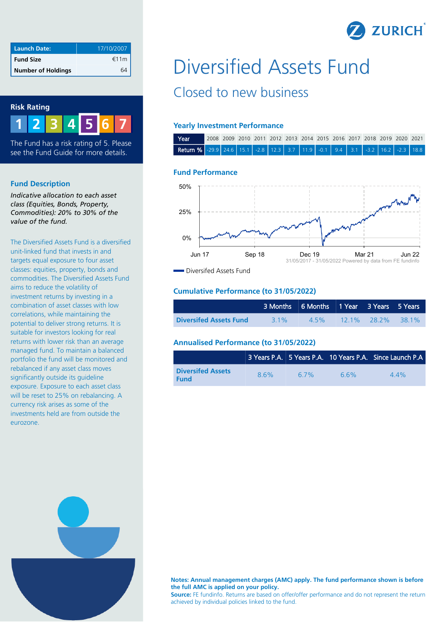

| <b>Launch Date:</b>       | 17/10/2007 |
|---------------------------|------------|
| <b>Fund Size</b>          | €11m       |
| <b>Number of Holdings</b> |            |

### **Risk Rating**

**1 2 3 4 6 7 5**

The Fund has a risk rating of 5. Please see the Fund Guide for more details.

### **Fund Description**

*Indicative allocation to each asset class (Equities, Bonds, Property, Commodities): 20% to 30% of the value of the fund.*

The Diversified Assets Fund is a diversified unit-linked fund that invests in and targets equal exposure to four asset classes: equities, property, bonds and commodities. The Diversified Assets Fund aims to reduce the volatility of investment returns by investing in a combination of asset classes with low correlations, while maintaining the potential to deliver strong returns. It is suitable for investors looking for real returns with lower risk than an average managed fund. To maintain a balanced portfolio the fund will be monitored and rebalanced if any asset class moves significantly outside its guideline exposure. Exposure to each asset class will be reset to 25% on rebalancing. A currency risk arises as some of the investments held are from outside the eurozone.

# Diversified Assets Fund Closed to new business

# **Yearly Investment Performance**

| Year                                                                                                                                          | 2008 2009 2010 2011 2012 2013 2014 2015 2016 2017 2018 2019 2020 2021 |  |  |  |  |  |  |  |
|-----------------------------------------------------------------------------------------------------------------------------------------------|-----------------------------------------------------------------------|--|--|--|--|--|--|--|
| <b>Return %</b> $\begin{bmatrix} -29.9 & 24.6 & 15.1 & -2.8 & 12.3 & 3.7 & 11.9 & -0.1 & 9.4 & 3.1 & -3.2 & 16.2 & -2.3 & 18.8 \end{bmatrix}$ |                                                                       |  |  |  |  |  |  |  |

#### **Fund Performance**



**Diversifed Assets Fund** 

## **Cumulative Performance (to 31/05/2022)**

|                               |        | 3 Months 6 Months 1 Year 3 Years 5 Years |                      |  |
|-------------------------------|--------|------------------------------------------|----------------------|--|
| <b>Diversifed Assets Fund</b> | $31\%$ | 45%                                      | $12.1\%$ 28.2% 38.1% |  |

### **Annualised Performance (to 31/05/2022)**

|                                         |     |      |     | 3 Years P.A. 5 Years P.A. 10 Years P.A. Since Launch P.A |
|-----------------------------------------|-----|------|-----|----------------------------------------------------------|
| <b>Diversifed Assets</b><br><b>Fund</b> | 86% | 6.7% | 66% | $44\%$                                                   |



**Notes: Annual management charges (AMC) apply. The fund performance shown is before the full AMC is applied on your policy.**

**Source:** FE fundinfo. Returns are based on offer/offer performance and do not represent the return achieved by individual policies linked to the fund.